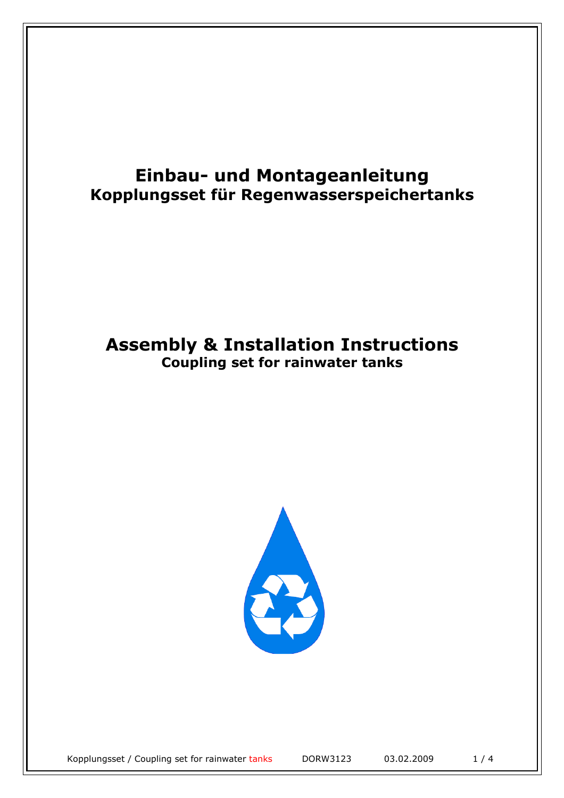## **Einbau- und Montageanleitung Kopplungsset für Regenwasserspeichertanks**

## **Assembly & Installation Instructions Coupling set for rainwater tanks**

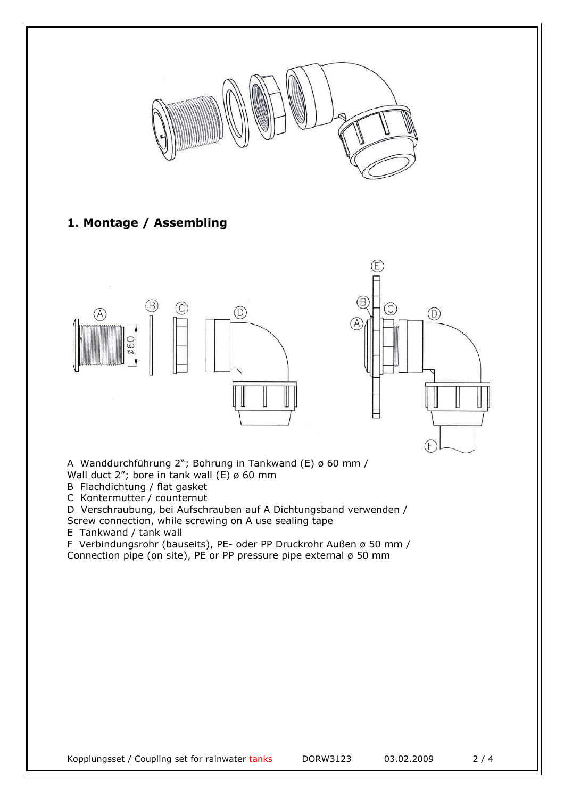

## **1. Montage / Assembling**





A Wanddurchführung 2"; Bohrung in Tankwand (E) ø 60 mm / Wall duct 2"; bore in tank wall  $(E)$   $\phi$  60 mm

B Flachdichtung / flat gasket

C Kontermutter / counternut

D Verschraubung, bei Aufschrauben auf A Dichtungsband verwenden / Screw connection, while screwing on A use sealing tape

E Tankwand / tank wall

F Verbindungsrohr (bauseits), PE- oder PP Druckrohr Außen ø 50 mm / Connection pipe (on site), PE or PP pressure pipe external ø 50 mm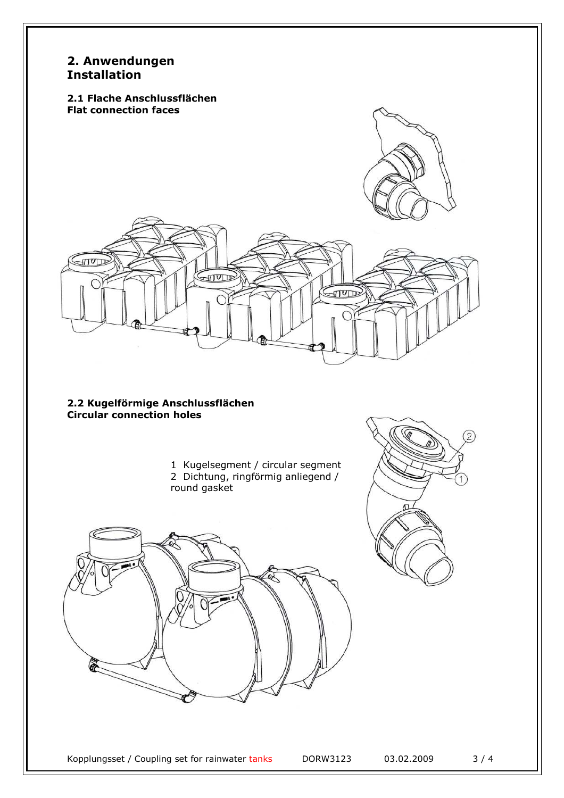